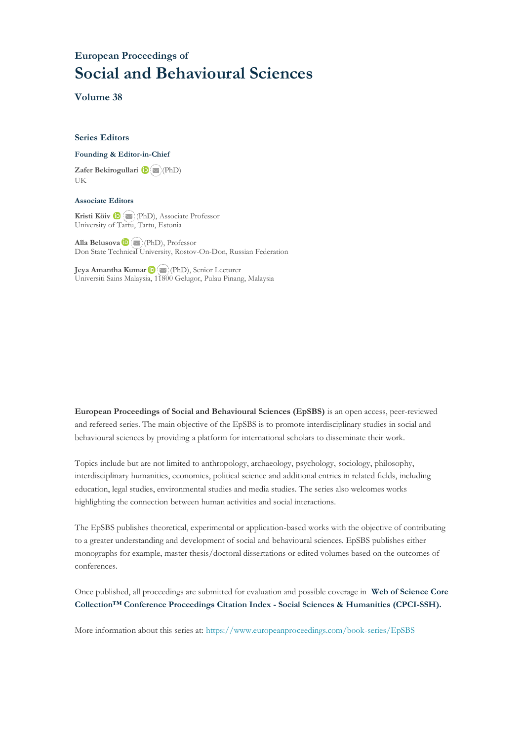## **European Proceedings of Social and Behavioural Sciences**

**Volume 38**

#### **Series Editors**

#### **Founding & Editor-in-Chief**

**Zafer Bekirogullari**(PhD) UK

#### **Associate Editors**

**Kristi Köiv** (PhD), Associate Professor University of Tartu, Tartu, Estonia

**Alla Belusova**(PhD), Professor Don State Technical University, Rostov-On-Don, Russian Federation

**Jeya Amantha Kumar**(PhD), Senior Lecturer Universiti Sains Malaysia, [1180](mailto:amantha@usm.my)0 Gelugor, Pulau Pinang, Malaysia

**European Proceedings of Social and Behavioural Sciences (EpSBS)** is an open access, peer-reviewed and refereed series. The main objective of the EpSBS is to promote interdisciplinary studies in social and behavioural sciences by providing a platform for international scholars to disseminate their work.

Topics include but are not limited to anthropology, archaeology, psychology, sociology, philosophy, interdisciplinary humanities, economics, political science and additional entries in related fields, including education, legal studies, environmental studies and media studies. The series also welcomes works highlighting the connection between human activities and social interactions.

The EpSBS publishes theoretical, experimental or application-based works with the objective of contributing to a greater understanding and development of social and behavioural sciences. EpSBS publishes either monographs for example, master thesis/doctoral dissertations or edited volumes based on the outcomes of conferences.

Once published, all proceedings are submitted for evaluation and possible coverage in **Web of [Science](https://clarivate.com/webofsciencegroup/solutions/webofscience-cpci/) Core Collection™ Conference Proceedings Citation Index - Social Sciences & Humanities [\(CPCI-SSH\).](https://clarivate.com/webofsciencegroup/solutions/webofscience-cpci/)**

More information about this series at[: https://www.europeanproceedings.com/book-series/EpSBS](https://www.europeanproceedings.com/book-series/EpSBS)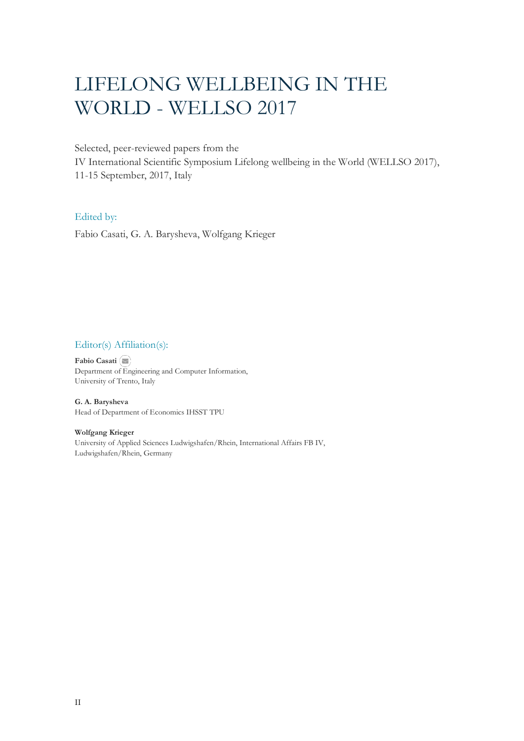# LIFELONG WELLBEING IN THE WORLD - WELLSO 2017

Selected, peer-reviewed papers from the

IV International Scientific Symposium Lifelong wellbeing in the World (WELLSO 2017), 11-15 September, 2017, Italy

## Edited by:

Fabio Casati, G. А. Barysheva, Wolfgang Krieger

## Editor(s) Affiliation(s):

**Fabio Casati** Department o[f En](mailto:fabio.casati@unitn.it)gineering and Computer Information, University of Trento, Italy

**G. А. Barysheva** Head of Department of Economics IHSST TPU

**Wolfgang Krieger** University of Applied Sciences Ludwigshafen/Rhein, International Affairs FB IV, Ludwigshafen/Rhein, Germany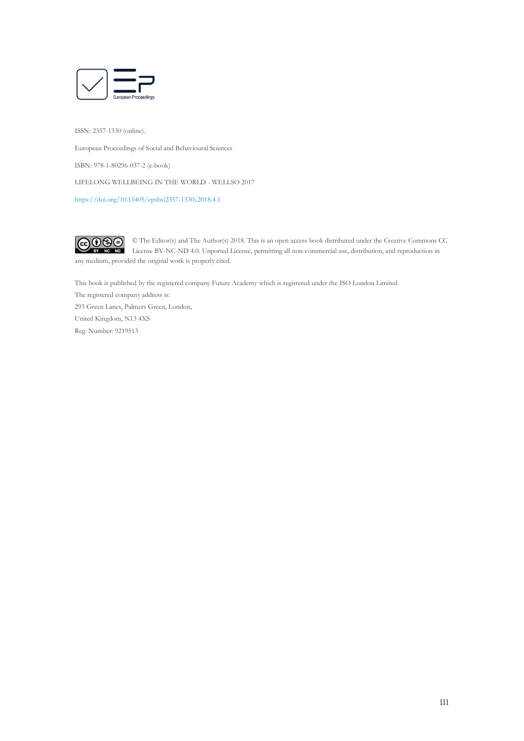

ISSN: 2357-1330 (online).

European Proceedings of Social and Behavioural Sciences

ISBN: 978-1-80296-037-2 (e-book)

LIFELONG WELLBEING IN THE WORLD - WELLSO 2017

[https://doi.org/10.15405/epsbs\(2357-1330\).2018.4.1](https://doi.org/10.15405/epsbs(2357-1330).2018.4.1)



any medium, provided the original work is properly cited.

This book is published by the registered company Future Academy which is registered under the ISO London Limited.

The registered company address is:

293 Green Lanes, Palmers Green, London, United Kingdom, N13 4XS Reg. Number: 9219513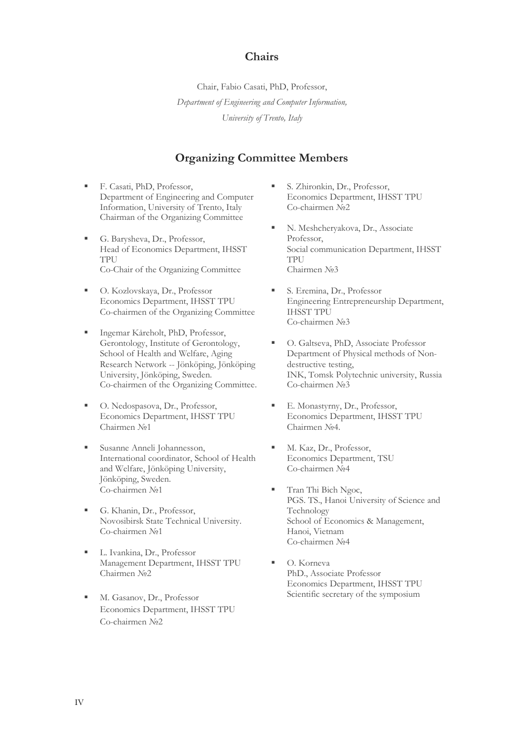## **Chairs**

Chair, Fabio Casati, PhD, Professor, *Department of Engineering and Computer Information, University of Trento, Italy*

## **Organizing Committee Members**

- F. Casati, PhD, Professor, Department of Engineering and Computer Information, University of Trento, Italy Chairman of the Organizing Committee
- G. Barysheva, Dr., Professor, Head of Economics Department, IHSST TPU Co-Chair of the Organizing Committee
- O. Kozlovskaya, Dr., Professor Economics Department, IHSST TPU Co-chairmen of the Organizing Committee
- Ingemar Kåreholt, PhD, Professor, Gerontology, Institute of Gerontology, School of Health and Welfare, Aging Research Network -- Jönköping, Jönköping University, Jönköping, Sweden. Co-chairmen of the Organizing Committee.
- O. Nedospasova, Dr., Professor, Economics Department, IHSST TPU Chairmen №1
- Susanne Anneli Johannesson, International coordinator, School of Health and Welfare, Jönköping University, Jönköping, Sweden. Co-chairmen №1
- G. Khanin, Dr., Professor, Novosibirsk State Technical University. Co-chairmen №1
- L. Ivankina, Dr., Professor Management Department, IHSST TPU Chairmen №2
- M. Gasanov, Dr., Professor Economics Department, IHSST TPU Co-chairmen №2
- S. Zhironkin, Dr., Professor, Economics Department, IHSST TPU Co-chairmen №2
- N. Meshcheryakova, Dr., Associate Professor, Social communication Department, IHSST TPU Chairmen №3
- S. Eremina, Dr., Professor Engineering Entrepreneurship Department, IHSST TPU Co-chairmen №3
- O. Galtseva, PhD, Associate Professor Department of Physical methods of Nondestructive testing, INK, Tomsk Polytechnic university, Russia Co-chairmen №3
- E. Monastyrny, Dr., Professor, Economics Department, IHSST TPU Chairmen №4.
- M. Kaz, Dr., Professor, Economics Department, TSU Co-chairmen №4
- Tran Thi Bich Ngoc, PGS. TS., Hanoi University of Science and Technology School of Economics & Management, Hanoi, Vietnam Co-chairmen №4
- O. Korneva PhD., Associate Professor Economics Department, IHSST TPU Scientific secretary of the symposium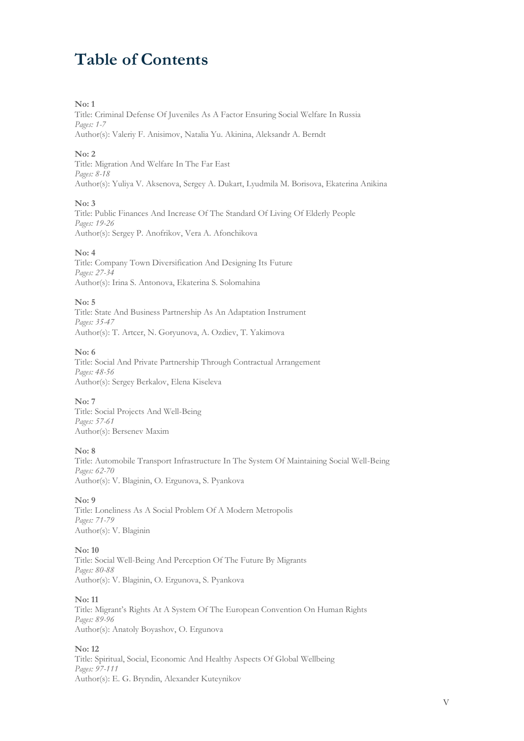## **Table of Contents**

#### **No: 1**

Title: Criminal Defense Of Juveniles As A Factor Ensuring Social Welfare In Russia *Pages: 1-7* Author(s): Valeriy F. Anisimov, Natalia Yu. Akinina, Aleksandr A. Berndt

#### **No: 2**

Title: Migration And Welfare In The Far East *Pages: 8-18* Author(s): Yuliya V. Aksenova, Sergey A. Dukart, Lyudmila M. Borisova, Ekaterina Anikina

#### **No: 3**

Title: Public Finances And Increase Of The Standard Of Living Of Elderly People *Pages: 19-26* Author(s): Sergey P. Anofrikov, Vera A. Afonchikova

#### **No: 4**

Title: Company Town Diversification And Designing Its Future *Pages: 27-34* Author(s): Irina S. Antonova, Ekaterina S. Solomahina

#### **No: 5**

Title: State And Business Partnership As An Adaptation Instrument *Pages: 35-47* Author(s): Т. Artcer, N. Goryunova, A. Ozdiev, T. Yakimova

#### **No: 6**

Title: Social And Private Partnership Through Contractual Arrangement *Pages: 48-56* Author(s): Sergey Berkalov, Elena Kiseleva

#### **No: 7**

Title: Social Projects And Well-Being *Pages: 57-61* Author(s): Bersenev Maxim

#### **No: 8**

Title: Automobile Transport Infrastructure In The System Of Maintaining Social Well-Being *Pages: 62-70* Author(s): V. Blaginin, O. Ergunova, S. Pyankova

#### **No: 9**

Title: Loneliness As A Social Problem Of A Modern Metropolis *Pages: 71-79* Author(s): V. Blaginin

#### **No: 10**

Title: Social Well-Being And Perception Of The Future By Migrants *Pages: 80-88* Author(s): V. Blaginin, O. Ergunova, S. Pyankova

#### **No: 11**

Title: Migrant's Rights At A System Of The European Convention On Human Rights *Pages: 89-96* Author(s): Anatoly Boyashov, O. Ergunova

#### **No: 12**

Title: Spiritual, Social, Economic And Healthy Aspects Of Global Wellbeing *Pages: 97-111* Author(s): E. G. Bryndin, Alexander Kuteynikov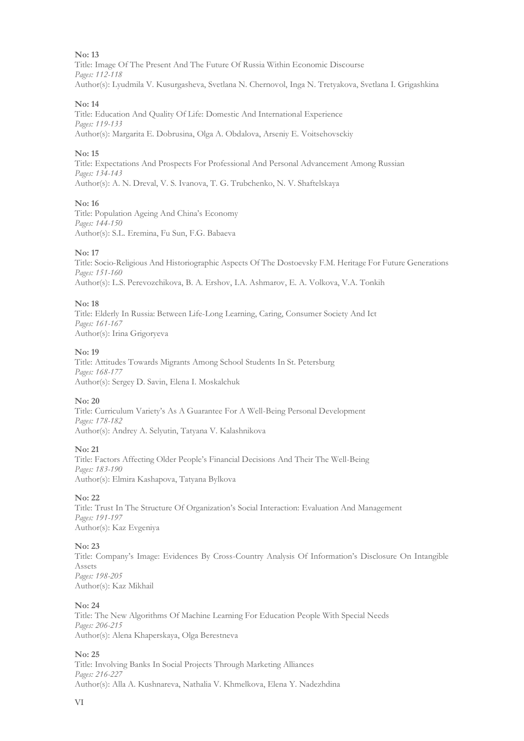#### **No: 13**

Title: Image Of The Present And The Future Of Russia Within Economic Discourse *Pages: 112-118* Author(s): Lyudmila V. Kusurgasheva, Svetlana N. Chernovol, Inga N. Tretyakova, Svetlana I. Grigashkina

#### **No: 14**

Title: Education And Quality Of Life: Domestic And International Experience *Pages: 119-133* Author(s): Margarita E. Dobrusina, Olga A. Obdalova, Arseniy E. Voitsehovsckiy

#### **No: 15**

Title: Expectations And Prospects For Professional And Personal Advancement Among Russian *Pages: 134-143* Author(s): A. N. Dreval, V. S. Ivanova, T. G. Trubchenko, N. V. Shaftelskaya

#### **No: 16**

Title: Population Ageing And China's Economy *Pages: 144-150* Author(s): S.L. Eremina, Fu Sun, F.G. Babaeva

#### **No: 17**

Title: Socio-Religious And Historiographic Aspects Of The Dostoevsky F.M. Heritage For Future Generations *Pages: 151-160* Author(s): L.S. Perevozchikova, B. A. Ershov, I.A. Ashmarov, E. A. Volkova, V.A. Tonkih

#### **No: 18**

Title: Elderly In Russia: Between Life-Long Learning, Сaring, Consumer Society And Ict *Pages: 161-167* Author(s): Irina Grigoryeva

#### **No: 19**

Title: Attitudes Towards Migrants Among School Students In St. Petersburg *Pages: 168-177* Author(s): Sergey D. Savin, Elena I. Moskalchuk

#### **No: 20**

Title: Curriculum Variety's As A Guarantee For A Well-Being Personal Development *Pages: 178-182* Author(s): Andrey A. Selyutin, Tatyana V. Kalashnikova

#### **No: 21**

Title: Factors Affecting Older People's Financial Decisions And Their The Well-Being *Pages: 183-190* Author(s): Elmira Kashapova, Tatyana Bylkova

#### **No: 22**

Title: Trust In The Structure Of Organization's Social Interaction: Evaluation And Management *Pages: 191-197* Author(s): Kaz Evgeniya

#### **No: 23**

Title: Сompany's Image: Evidences By Cross-Country Analysis Of Information's Disclosure On Intangible Assets *Pages: 198-205* Author(s): Kaz Mikhail

#### **No: 24**

Title: The New Algorithms Of Machine Learning For Education People With Special Needs *Pages: 206-215* Author(s): Alena Khaperskaya, Olga Berestneva

#### **No: 25**

Title: Involving Banks In Social Projects Through Marketing Alliances *Pages: 216-227* Author(s): Alla A. Kushnareva, Nathalia V. Khmelkova, Elena Y. Nadezhdina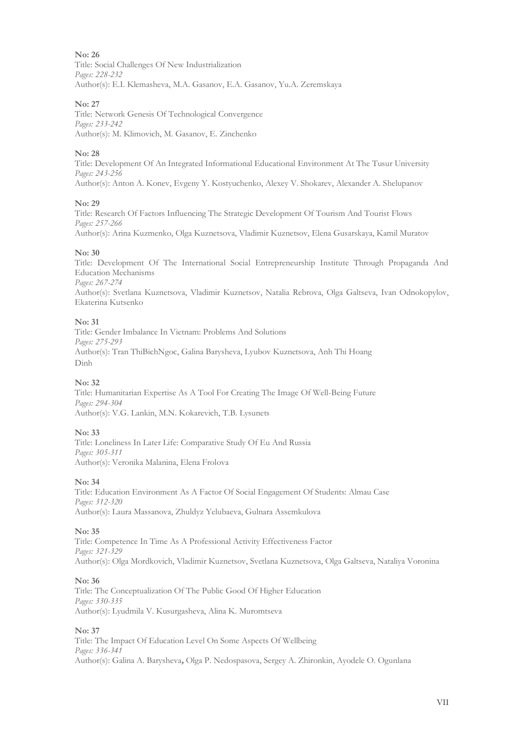#### **No: 26**

Title: Social Challenges Of New Industrialization *Pages: 228-232* Author(s): E.I. Klemasheva, M.A. Gasanov, E.A. Gasanov, Yu.A. Zeremskaya

#### **No: 27**

Title: Network Genesis Of Technological Convergence *Pages: 233-242* Author(s): M. Klimovich, M. Gasanov, E. Zinchenko

#### **No: 28**

Title: Development Of An Integrated Informational Educational Environment At The Tusur University *Pages: 243-256* Author(s): Anton A. Konev, Evgeny Y. Kostyuchenko, Alexey V. Shokarev, Alexander A. Shelupanov

#### **No: 29**

Title: Research Of Factors Influencing The Strategic Development Of Tourism And Tourist Flows *Pages: 257-266* Author(s): Arina Kuzmenko, Olga Kuznetsova, Vladimir Kuznetsov, Elena Gusarskaya, Kamil Muratov

#### **No: 30**

Title: Development Of The International Social Entrepreneurship Institute Through Propaganda And Education Mechanisms *Pages: 267-274*

Author(s): Svetlana Kuznetsova, Vladimir Kuznetsov, Natalia Rebrova, Olga Galtseva, Ivan Odnokopylov, Ekaterina Kutsenko

#### **No: 31**

Title: Gender Imbalance In Vietnam: Problems And Solutions *Pages: 275-293* Author(s): Tran ThiBichNgoc, Galina Barysheva, Lyubov Kuznetsova, Anh Thi Hoang Dinh

#### **No: 32**

Title: Humanitarian Expertise As A Tool For Creating The Image Of Well-Being Future *Pages: 294-304* Author(s): V.G. Lankin, M.N. Kokarevich, T.B. Lysunets

#### **No: 33**

Title: Loneliness In Later Life: Comparative Study Of Eu And Russia *Pages: 305-311* Author(s): Veronika Malanina, Elena Frolova

#### **No: 34**

Title: Education Environment As A Factor Of Social Engagement Of Students: Almau Case *Pages: 312-320* Author(s): Laura Massanova, Zhuldyz Yelubaeva, Gulnara Assemkulova

#### **No: 35**

Title: Competence In Time As A Professional Activity Effectiveness Factor *Pages: 321-329* Author(s): Olga Mordkovich, Vladimir Kuznetsov, Svetlana Kuznetsova, Olga Galtseva, Nataliya Voronina

#### **No: 36**

Title: The Conceptualization Of The Public Good Of Higher Education *Pages: 330-335* Author(s): Lyudmila V. Kusurgasheva, Alina K. Muromtseva

#### **No: 37**

Title: The Impact Of Education Level On Some Aspects Of Wellbeing *Pages: 336-341* Author(s): Galina A. Barysheva**,** Olga P. Nedospasova, Sergey A. Zhironkin, Ayodele O. Ogunlana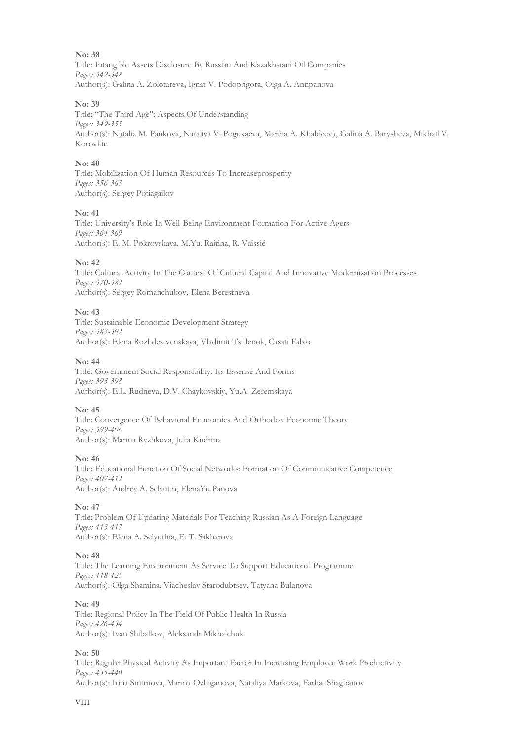**No: 38** Title: Intangible Assets Disclosure By Russian And Kazakhstani Oil Companies *Pages: 342-348* Author(s): Galina A. Zolotareva**,** Ignat V. Podoprigora, Olga A. Antipanova

### **No: 39**

Title: "The Third Age": Aspects Of Understanding *Pages: 349-355* Author(s): Natalia M. Pankova, Nataliya V. Pogukaeva, Marina A. Khaldeeva, Galina A. Barysheva, Mikhail V. Korovkin

#### **No: 40**

Title: Mobilization Of Human Resources To Increaseprosperity *Pages: 356-363* Author(s): Sergey Potiagailov

#### **No: 41**

Title: University's Role In Well-Being Environment Formation For Active Agers *Pages: 364-369* Author(s): E. M. Pokrovskaya, М.Yu. Raitina, R. Vaissié

#### **No: 42**

Title: Cultural Activity In The Context Of Cultural Capital And Innovative Modernization Processes *Pages: 370-382* Author(s): Sergey Romanchukov, Elena Berestneva

#### **No: 43**

Title: Sustainable Economic Development Strategy *Pages: 383-392* Author(s): Elena Rozhdestvenskaya, Vladimir Tsitlenok, Casati Fabio

#### **No: 44**

Title: Government Social Responsibility: Its Essense And Forms *Pages: 393-398* Author(s): E.L. Rudneva, D.V. Chaykovskiy, Yu.A. Zeremskaya

#### **No: 45**

Title: Convergence Of Behavioral Economics And Orthodox Economic Theory *Pages: 399-406* Author(s): Marina Ryzhkova, Julia Kudrina

#### **No: 46**

Title: Educational Function Of Social Networks: Formation Of Communicative Competence *Pages: 407-412* Author(s): Andrey A. Selyutin, ElenaYu.Panova

#### **No: 47**

Title: Problem Of Updating Materials For Teaching Russian As A Foreign Language *Pages: 413-417* Author(s): Elena A. Selyutina, E. T. Sakharova

#### **No: 48**

Title: The Learning Environment As Service To Support Educational Programme *Pages: 418-425* Author(s): Olga Shamina, Viacheslav Starodubtsev, Tatyana Bulanova

#### **No: 49**

Title: Regional Policy In The Field Of Public Health In Russia *Pages: 426-434* Author(s): Ivan Shibalkov, Aleksandr Mikhalchuk

#### **No: 50**

Title: Regular Physical Activity As Important Factor In Increasing Employee Work Productivity *Pages: 435-440* Author(s): Irina Smirnova, Marina Ozhiganova, Nataliya Markova, Farhat Shagbanov